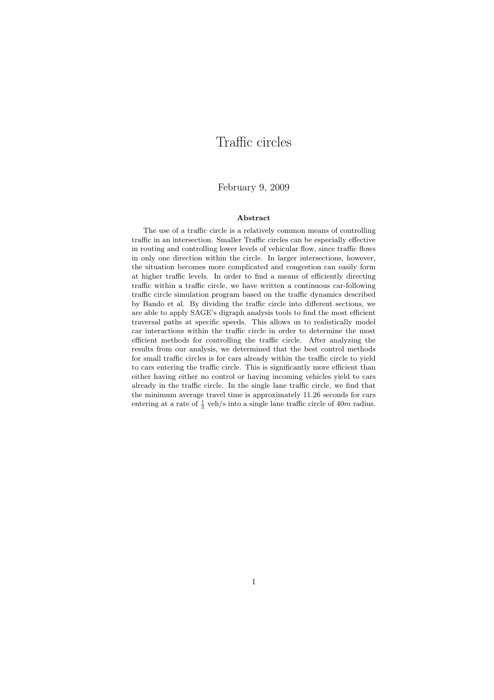# Traffic circles

#### February 9, 2009

#### Abstract

The use of a traffic circle is a relatively common means of controlling traffic in an intersection. Smaller Traffic circles can be especially effective in routing and controlling lower levels of vehicular flow, since traffic flows in only one direction within the circle. In larger intersections, however, the situation becomes more complicated and congestion can easily form at higher traffic levels. In order to find a means of efficiently directing traffic within a traffic circle, we have written a continuous car-following traffic circle simulation program based on the traffic dynamics described by Bando et al. By dividing the traffic circle into different sections, we are able to apply SAGE's digraph analysis tools to find the most efficient traversal paths at specific speeds. This allows us to realistically model car interactions within the traffic circle in order to determine the most efficient methods for controlling the traffic circle. After analyzing the results from our analysis, we determined that the best control methods for small traffic circles is for cars already within the traffic circle to yield to cars entering the traffic circle. This is significantly more efficient than either having either no control or having incoming vehicles yield to cars already in the traffic circle. In the single lane traffic circle, we find that the minimum average travel time is approximately 11.26 seconds for cars entering at a rate of  $\frac{1}{3}$  veh/s into a single lane traffic circle of 40m radius.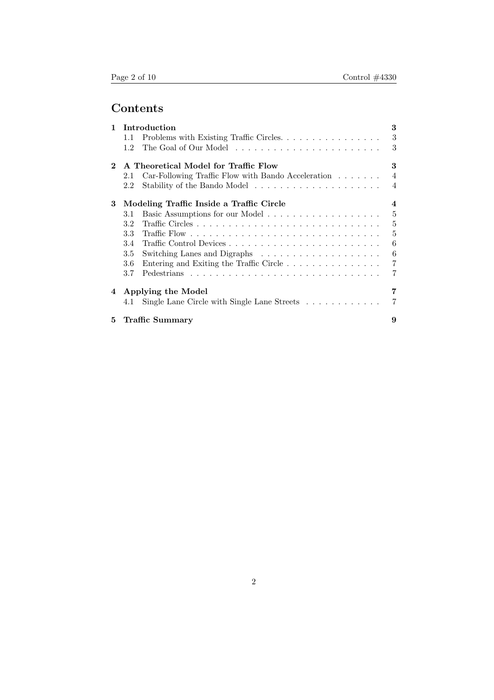# Contents

| 1 | Introduction                                                                     | 3              |
|---|----------------------------------------------------------------------------------|----------------|
|   | Problems with Existing Traffic Circles.<br>1.1                                   | 3              |
|   | 1.2                                                                              | 3              |
| 2 | A Theoretical Model for Traffic Flow                                             | 3              |
|   | Car-Following Traffic Flow with Bando Acceleration<br>2.1                        | $\overline{4}$ |
|   | Stability of the Bando Model $\dots \dots \dots \dots \dots \dots \dots$<br>2.2  | $\overline{4}$ |
| 3 | Modeling Traffic Inside a Traffic Circle                                         | 4              |
|   | 3.1                                                                              | 5              |
|   | 3.2                                                                              | 5              |
|   | 3.3                                                                              | 5              |
|   | 3.4                                                                              | 6              |
|   | 3.5                                                                              | 6              |
|   | Entering and Exiting the Traffic Circle<br>3.6                                   | $\overline{7}$ |
|   | 3.7                                                                              | 7              |
| 4 | Applying the Model                                                               | 7              |
|   | Single Lane Circle with Single Lane Streets $\ldots \ldots \ldots \ldots$<br>4.1 | 7              |
| 5 | <b>Traffic Summary</b>                                                           | 9              |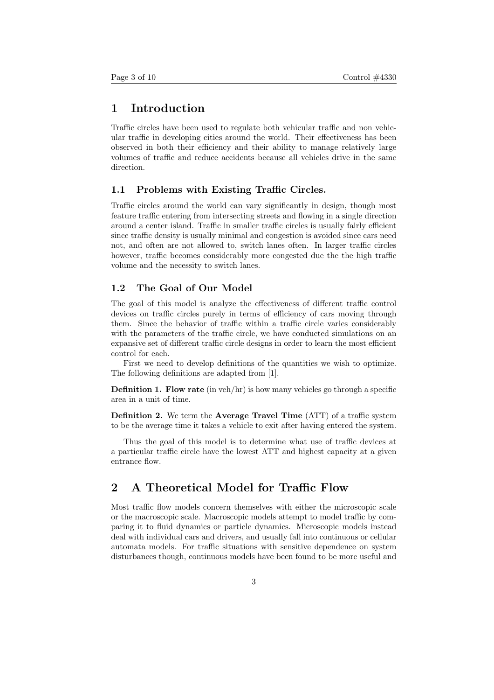# 1 Introduction

Traffic circles have been used to regulate both vehicular traffic and non vehicular traffic in developing cities around the world. Their effectiveness has been observed in both their efficiency and their ability to manage relatively large volumes of traffic and reduce accidents because all vehicles drive in the same direction.

#### 1.1 Problems with Existing Traffic Circles.

Traffic circles around the world can vary significantly in design, though most feature traffic entering from intersecting streets and flowing in a single direction around a center island. Traffic in smaller traffic circles is usually fairly efficient since traffic density is usually minimal and congestion is avoided since cars need not, and often are not allowed to, switch lanes often. In larger traffic circles however, traffic becomes considerably more congested due the the high traffic volume and the necessity to switch lanes.

## 1.2 The Goal of Our Model

The goal of this model is analyze the effectiveness of different traffic control devices on traffic circles purely in terms of efficiency of cars moving through them. Since the behavior of traffic within a traffic circle varies considerably with the parameters of the traffic circle, we have conducted simulations on an expansive set of different traffic circle designs in order to learn the most efficient control for each.

First we need to develop definitions of the quantities we wish to optimize. The following definitions are adapted from [1].

**Definition 1. Flow rate** (in veh/hr) is how many vehicles go through a specific area in a unit of time.

Definition 2. We term the Average Travel Time (ATT) of a traffic system to be the average time it takes a vehicle to exit after having entered the system.

Thus the goal of this model is to determine what use of traffic devices at a particular traffic circle have the lowest ATT and highest capacity at a given entrance flow.

# 2 A Theoretical Model for Traffic Flow

Most traffic flow models concern themselves with either the microscopic scale or the macroscopic scale. Macroscopic models attempt to model traffic by comparing it to fluid dynamics or particle dynamics. Microscopic models instead deal with individual cars and drivers, and usually fall into continuous or cellular automata models. For traffic situations with sensitive dependence on system disturbances though, continuous models have been found to be more useful and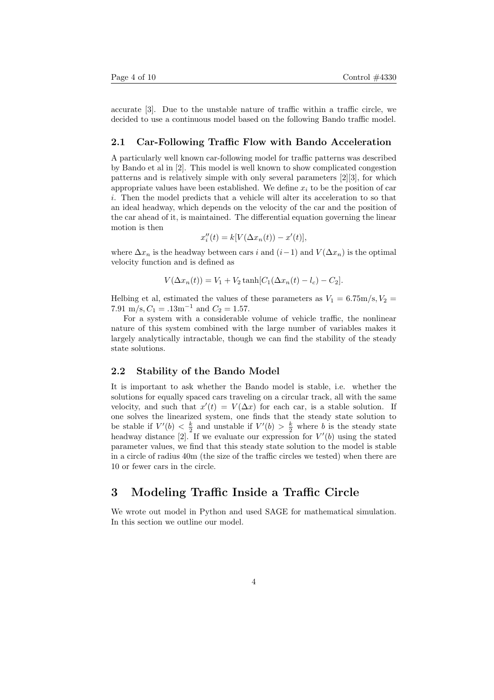accurate [3]. Due to the unstable nature of traffic within a traffic circle, we decided to use a continuous model based on the following Bando traffic model.

#### 2.1 Car-Following Traffic Flow with Bando Acceleration

A particularly well known car-following model for traffic patterns was described by Bando et al in [2]. This model is well known to show complicated congestion patterns and is relatively simple with only several parameters [2][3], for which appropriate values have been established. We define  $x_i$  to be the position of car i. Then the model predicts that a vehicle will alter its acceleration to so that an ideal headway, which depends on the velocity of the car and the position of the car ahead of it, is maintained. The differential equation governing the linear motion is then

$$
x_i''(t) = k[V(\Delta x_n(t)) - x'(t)],
$$

where  $\Delta x_n$  is the headway between cars i and  $(i-1)$  and  $V(\Delta x_n)$  is the optimal velocity function and is defined as

$$
V(\Delta x_n(t)) = V_1 + V_2 \tanh[C_1(\Delta x_n(t) - l_c) - C_2].
$$

Helbing et al, estimated the values of these parameters as  $V_1 = 6.75 \text{m/s}, V_2 =$ 7.91 m/s,  $C_1 = .13$ m<sup>-1</sup> and  $C_2 = 1.57$ .

For a system with a considerable volume of vehicle traffic, the nonlinear nature of this system combined with the large number of variables makes it largely analytically intractable, though we can find the stability of the steady state solutions.

#### 2.2 Stability of the Bando Model

It is important to ask whether the Bando model is stable, i.e. whether the solutions for equally spaced cars traveling on a circular track, all with the same velocity, and such that  $x'(t) = V(\Delta x)$  for each car, is a stable solution. If one solves the linearized system, one finds that the steady state solution to be stable if  $V'(b) < \frac{k}{2}$  and unstable if  $V'(b) > \frac{k}{2}$  where b is the steady state headway distance [2]. If we evaluate our expression for  $V'(b)$  using the stated parameter values, we find that this steady state solution to the model is stable in a circle of radius 40m (the size of the traffic circles we tested) when there are 10 or fewer cars in the circle.

# 3 Modeling Traffic Inside a Traffic Circle

We wrote out model in Python and used SAGE for mathematical simulation. In this section we outline our model.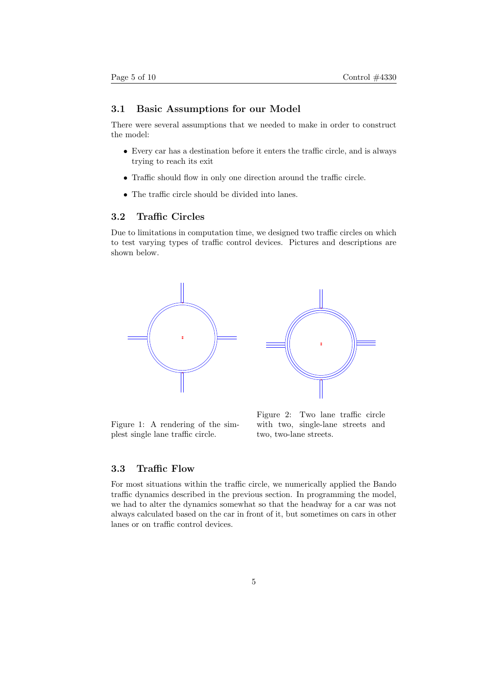#### 3.1 Basic Assumptions for our Model

There were several assumptions that we needed to make in order to construct the model:

- Every car has a destination before it enters the traffic circle, and is always trying to reach its exit
- Traffic should flow in only one direction around the traffic circle.
- The traffic circle should be divided into lanes.

## 3.2 Traffic Circles

Due to limitations in computation time, we designed two traffic circles on which to test varying types of traffic control devices. Pictures and descriptions are shown below.



Figure 1: A rendering of the simplest single lane traffic circle.

Figure 2: Two lane traffic circle with two, single-lane streets and two, two-lane streets.

### 3.3 Traffic Flow

For most situations within the traffic circle, we numerically applied the Bando traffic dynamics described in the previous section. In programming the model, we had to alter the dynamics somewhat so that the headway for a car was not always calculated based on the car in front of it, but sometimes on cars in other lanes or on traffic control devices.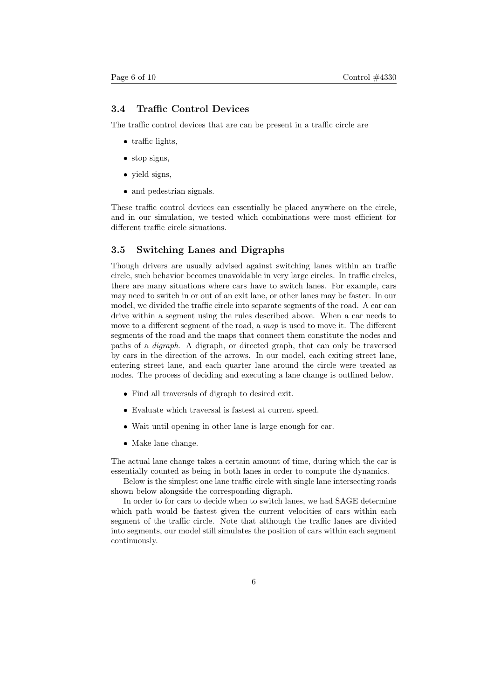## 3.4 Traffic Control Devices

The traffic control devices that are can be present in a traffic circle are

- traffic lights,
- stop signs,
- yield signs,
- and pedestrian signals.

These traffic control devices can essentially be placed anywhere on the circle, and in our simulation, we tested which combinations were most efficient for different traffic circle situations.

## 3.5 Switching Lanes and Digraphs

Though drivers are usually advised against switching lanes within an traffic circle, such behavior becomes unavoidable in very large circles. In traffic circles, there are many situations where cars have to switch lanes. For example, cars may need to switch in or out of an exit lane, or other lanes may be faster. In our model, we divided the traffic circle into separate segments of the road. A car can drive within a segment using the rules described above. When a car needs to move to a different segment of the road, a map is used to move it. The different segments of the road and the maps that connect them constitute the nodes and paths of a digraph. A digraph, or directed graph, that can only be traversed by cars in the direction of the arrows. In our model, each exiting street lane, entering street lane, and each quarter lane around the circle were treated as nodes. The process of deciding and executing a lane change is outlined below.

- Find all traversals of digraph to desired exit.
- Evaluate which traversal is fastest at current speed.
- Wait until opening in other lane is large enough for car.
- Make lane change.

The actual lane change takes a certain amount of time, during which the car is essentially counted as being in both lanes in order to compute the dynamics.

Below is the simplest one lane traffic circle with single lane intersecting roads shown below alongside the corresponding digraph.

In order to for cars to decide when to switch lanes, we had SAGE determine which path would be fastest given the current velocities of cars within each segment of the traffic circle. Note that although the traffic lanes are divided into segments, our model still simulates the position of cars within each segment continuously.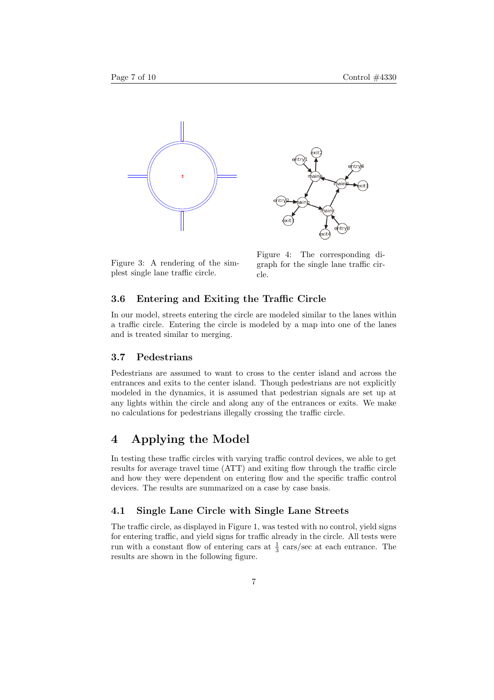



Figure 3: A rendering of the simplest single lane traffic circle.

Figure 4: The corresponding digraph for the single lane traffic circle.

## 3.6 Entering and Exiting the Traffic Circle

In our model, streets entering the circle are modeled similar to the lanes within a traffic circle. Entering the circle is modeled by a map into one of the lanes and is treated similar to merging.

#### 3.7 Pedestrians

Pedestrians are assumed to want to cross to the center island and across the entrances and exits to the center island. Though pedestrians are not explicitly modeled in the dynamics, it is assumed that pedestrian signals are set up at any lights within the circle and along any of the entrances or exits. We make no calculations for pedestrians illegally crossing the traffic circle.

## 4 Applying the Model

In testing these traffic circles with varying traffic control devices, we able to get results for average travel time (ATT) and exiting flow through the traffic circle and how they were dependent on entering flow and the specific traffic control devices. The results are summarized on a case by case basis.

#### 4.1 Single Lane Circle with Single Lane Streets

The traffic circle, as displayed in Figure 1, was tested with no control, yield signs for entering traffic, and yield signs for traffic already in the circle. All tests were run with a constant flow of entering cars at  $\frac{1}{3}$  cars/sec at each entrance. The results are shown in the following figure.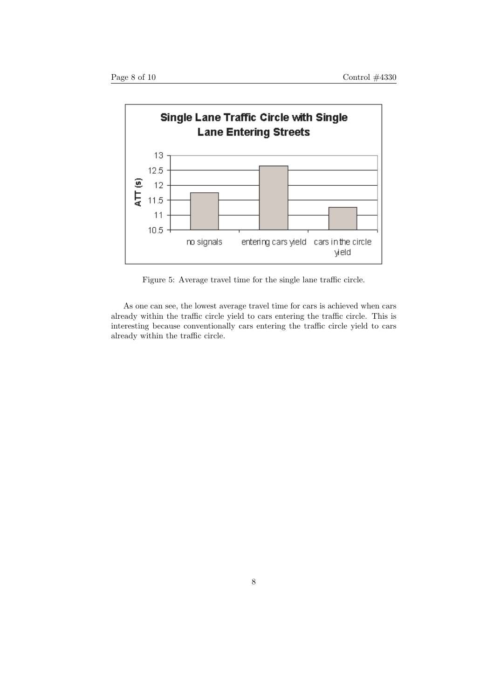

Figure 5: Average travel time for the single lane traffic circle.

As one can see, the lowest average travel time for cars is achieved when cars already within the traffic circle yield to cars entering the traffic circle. This is interesting because conventionally cars entering the traffic circle yield to cars already within the traffic circle.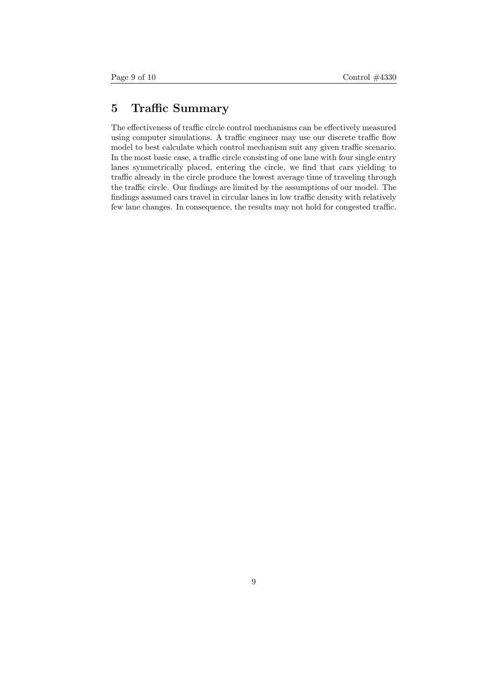# 5 Traffic Summary

The effectiveness of traffic circle control mechanisms can be effectively measured using computer simulations. A traffic engineer may use our discrete traffic flow model to best calculate which control mechanism suit any given traffic scenario. In the most basic case, a traffic circle consisting of one lane with four single entry lanes symmetrically placed, entering the circle, we find that cars yielding to traffic already in the circle produce the lowest average time of traveling through the traffic circle. Our findings are limited by the assumptions of our model. The findings assumed cars travel in circular lanes in low traffic density with relatively few lane changes. In consequence, the results may not hold for congested traffic.